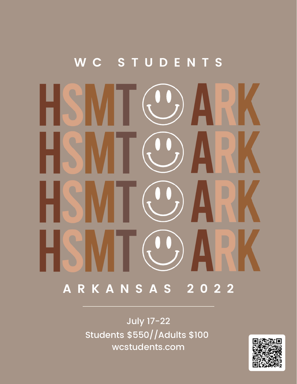# **W C S T U D E N T S A R K A N S A S 2 0 2 2**

July 17-22 Students \$550//Adults \$100 wcstudents.com